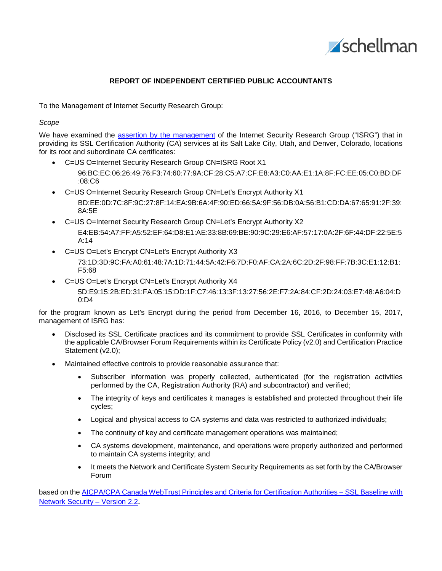

# **REPORT OF INDEPENDENT CERTIFIED PUBLIC ACCOUNTANTS**

To the Management of Internet Security Research Group:

## *Scope*

We have examined the [assertion by the management](#page-2-0) of the Internet Security Research Group ("ISRG") that in providing its SSL Certification Authority (CA) services at its Salt Lake City, Utah, and Denver, Colorado, locations for its root and subordinate CA certificates:

- C=US O=Internet Security Research Group CN=ISRG Root X1
	- 96:BC:EC:06:26:49:76:F3:74:60:77:9A:CF:28:C5:A7:CF:E8:A3:C0:AA:E1:1A:8F:FC:EE:05:C0:BD:DF :08:C6
- C=US O=Internet Security Research Group CN=Let's Encrypt Authority X1 BD:EE:0D:7C:8F:9C:27:8F:14:EA:9B:6A:4F:90:ED:66:5A:9F:56:DB:0A:56:B1:CD:DA:67:65:91:2F:39: 8A:5E
- C=US O=Internet Security Research Group CN=Let's Encrypt Authority X2 E4:EB:54:A7:FF:A5:52:EF:64:D8:E1:AE:33:8B:69:BE:90:9C:29:E6:AF:57:17:0A:2F:6F:44:DF:22:5E:5 A:14
- C=US O=Let's Encrypt CN=Let's Encrypt Authority X3 73:1D:3D:9C:FA:A0:61:48:7A:1D:71:44:5A:42:F6:7D:F0:AF:CA:2A:6C:2D:2F:98:FF:7B:3C:E1:12:B1: F5:68
- C=US O=Let's Encrypt CN=Let's Encrypt Authority X4 5D:E9:15:2B:ED:31:FA:05:15:DD:1F:C7:46:13:3F:13:27:56:2E:F7:2A:84:CF:2D:24:03:E7:48:A6:04:D 0:D4

for the program known as Let's Encrypt during the period from December 16, 2016, to December 15, 2017, management of ISRG has:

- Disclosed its SSL Certificate practices and its commitment to provide SSL Certificates in conformity with the applicable CA/Browser Forum Requirements within its Certificate Policy (v2.0) and Certification Practice Statement (v2.0);
- Maintained effective controls to provide reasonable assurance that:
	- Subscriber information was properly collected, authenticated (for the registration activities performed by the CA, Registration Authority (RA) and subcontractor) and verified;
	- The integrity of keys and certificates it manages is established and protected throughout their life cycles;
	- Logical and physical access to CA systems and data was restricted to authorized individuals;
	- The continuity of key and certificate management operations was maintained;
	- CA systems development, maintenance, and operations were properly authorized and performed to maintain CA systems integrity; and
	- It meets the Network and Certificate System Security Requirements as set forth by the CA/Browser Forum

based on the [AICPA/CPA Canada WebTrust Principles and Criteria for Certification Authorities –](http://www.webtrust.org/principles-and-criteria/docs/item83987.pdf) SSL Baseline with [Network Security –](http://www.webtrust.org/principles-and-criteria/docs/item83987.pdf) Version 2.2.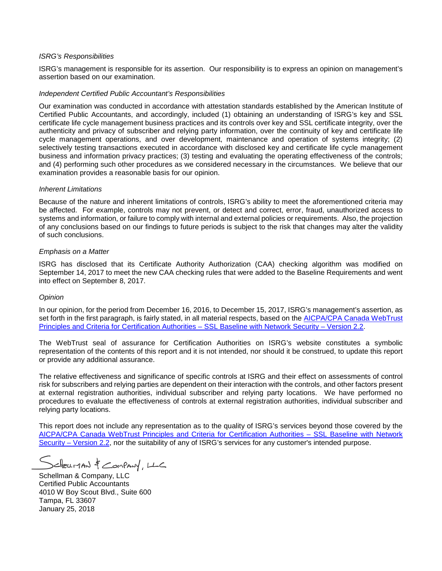## *ISRG's Responsibilities*

ISRG's management is responsible for its assertion. Our responsibility is to express an opinion on management's assertion based on our examination.

#### *Independent Certified Public Accountant's Responsibilities*

Our examination was conducted in accordance with attestation standards established by the American Institute of Certified Public Accountants, and accordingly, included (1) obtaining an understanding of ISRG's key and SSL certificate life cycle management business practices and its controls over key and SSL certificate integrity, over the authenticity and privacy of subscriber and relying party information, over the continuity of key and certificate life cycle management operations, and over development, maintenance and operation of systems integrity; (2) selectively testing transactions executed in accordance with disclosed key and certificate life cycle management business and information privacy practices; (3) testing and evaluating the operating effectiveness of the controls; and (4) performing such other procedures as we considered necessary in the circumstances. We believe that our examination provides a reasonable basis for our opinion.

#### *Inherent Limitations*

Because of the nature and inherent limitations of controls, ISRG's ability to meet the aforementioned criteria may be affected. For example, controls may not prevent, or detect and correct, error, fraud, unauthorized access to systems and information, or failure to comply with internal and external policies or requirements. Also, the projection of any conclusions based on our findings to future periods is subject to the risk that changes may alter the validity of such conclusions.

### *Emphasis on a Matter*

ISRG has disclosed that its Certificate Authority Authorization (CAA) checking algorithm was modified on September 14, 2017 to meet the new CAA checking rules that were added to the Baseline Requirements and went into effect on September 8, 2017.

#### *Opinion*

In our opinion, for the period from December 16, 2016, to December 15, 2017, ISRG's management's assertion, as set forth in the first paragraph, is fairly stated, in all material respects, based on the [AICPA/CPA Canada WebTrust](http://www.webtrust.org/principles-and-criteria/docs/item83987.pdf)  [Principles and Criteria for Certification Authorities –](http://www.webtrust.org/principles-and-criteria/docs/item83987.pdf) SSL Baseline with Network Security – Version 2.2.

The WebTrust seal of assurance for Certification Authorities on ISRG's website constitutes a symbolic representation of the contents of this report and it is not intended, nor should it be construed, to update this report or provide any additional assurance.

The relative effectiveness and significance of specific controls at ISRG and their effect on assessments of control risk for subscribers and relying parties are dependent on their interaction with the controls, and other factors present at external registration authorities, individual subscriber and relying party locations. We have performed no procedures to evaluate the effectiveness of controls at external registration authorities, individual subscriber and relying party locations.

This report does not include any representation as to the quality of ISRG's services beyond those covered by the [AICPA/CPA Canada WebTrust Principles and Criteria for Certification Authorities –](http://www.webtrust.org/principles-and-criteria/docs/item83987.pdf) SSL Baseline with Network Security – [Version 2.2,](http://www.webtrust.org/principles-and-criteria/docs/item83987.pdf) nor the suitability of any of ISRG's services for any customer's intended purpose.

Scheuman & Company, LLC

Schellman & Company, LLC Certified Public Accountants 4010 W Boy Scout Blvd., Suite 600 Tampa, FL 33607 January 25, 2018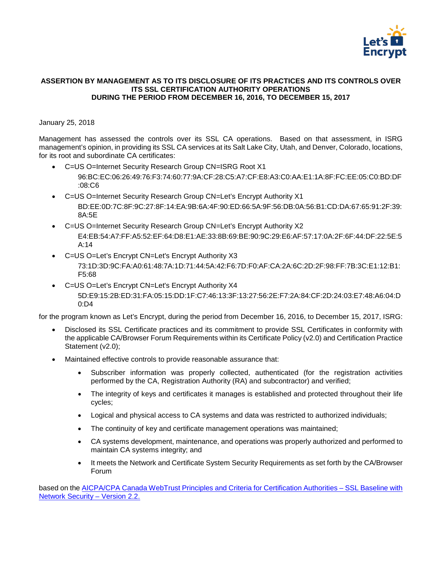

# <span id="page-2-0"></span>**ASSERTION BY MANAGEMENT AS TO ITS DISCLOSURE OF ITS PRACTICES AND ITS CONTROLS OVER ITS SSL CERTIFICATION AUTHORITY OPERATIONS DURING THE PERIOD FROM DECEMBER 16, 2016, TO DECEMBER 15, 2017**

# January 25, 2018

Management has assessed the controls over its SSL CA operations. Based on that assessment, in ISRG management's opinion, in providing its SSL CA services at its Salt Lake City, Utah, and Denver, Colorado, locations, for its root and subordinate CA certificates:

- C=US O=Internet Security Research Group CN=ISRG Root X1
	- 96:BC:EC:06:26:49:76:F3:74:60:77:9A:CF:28:C5:A7:CF:E8:A3:C0:AA:E1:1A:8F:FC:EE:05:C0:BD:DF :08:C6
- C=US O=Internet Security Research Group CN=Let's Encrypt Authority X1 BD:EE:0D:7C:8F:9C:27:8F:14:EA:9B:6A:4F:90:ED:66:5A:9F:56:DB:0A:56:B1:CD:DA:67:65:91:2F:39: 8A:5E
- C=US O=Internet Security Research Group CN=Let's Encrypt Authority X2 E4:EB:54:A7:FF:A5:52:EF:64:D8:E1:AE:33:8B:69:BE:90:9C:29:E6:AF:57:17:0A:2F:6F:44:DF:22:5E:5 A:14
- C=US O=Let's Encrypt CN=Let's Encrypt Authority X3

73:1D:3D:9C:FA:A0:61:48:7A:1D:71:44:5A:42:F6:7D:F0:AF:CA:2A:6C:2D:2F:98:FF:7B:3C:E1:12:B1: F5:68

• C=US O=Let's Encrypt CN=Let's Encrypt Authority X4

5D:E9:15:2B:ED:31:FA:05:15:DD:1F:C7:46:13:3F:13:27:56:2E:F7:2A:84:CF:2D:24:03:E7:48:A6:04:D 0:D4

for the program known as Let's Encrypt, during the period from December 16, 2016, to December 15, 2017, ISRG:

- Disclosed its SSL Certificate practices and its commitment to provide SSL Certificates in conformity with the applicable CA/Browser Forum Requirements within its Certificate Policy (v2.0) and Certification Practice Statement (v2.0);
- Maintained effective controls to provide reasonable assurance that:
	- Subscriber information was properly collected, authenticated (for the registration activities performed by the CA, Registration Authority (RA) and subcontractor) and verified;
	- The integrity of keys and certificates it manages is established and protected throughout their life cycles;
	- Logical and physical access to CA systems and data was restricted to authorized individuals;
	- The continuity of key and certificate management operations was maintained;
	- CA systems development, maintenance, and operations was properly authorized and performed to maintain CA systems integrity; and
	- It meets the Network and Certificate System Security Requirements as set forth by the CA/Browser Forum

based on the [AICPA/CPA Canada WebTrust Principles and Criteria for Certification Authorities –](http://www.webtrust.org/principles-and-criteria/docs/item83987.pdf) SSL Baseline with [Network Security –](http://www.webtrust.org/principles-and-criteria/docs/item83987.pdf) Version 2.2.